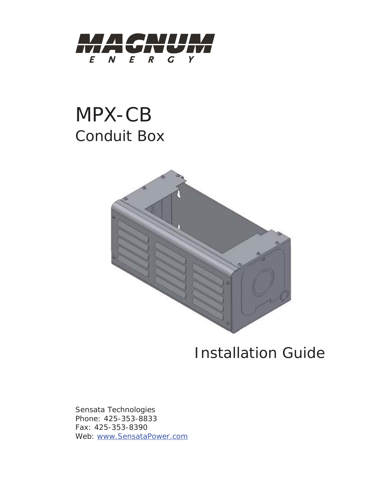

# MPX-CB Conduit Box



## Installation Guide

Sensata Technologies Phone: 425-353-8833 Fax: 425-353-8390 Web: www.SensataPower.com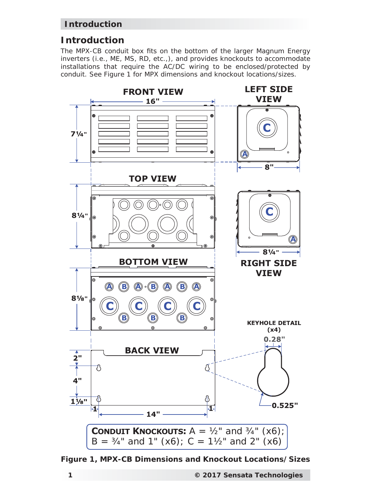#### **Introduction**

#### **Introduction**

The MPX-CB conduit box fits on the bottom of the larger Magnum Energy inverters (i.e., ME, MS, RD, etc.,), and provides knockouts to accommodate installations that require the AC/DC wiring to be enclosed/protected by conduit. See Figure 1 for MPX dimensions and knockout locations/sizes.



*Figure 1, MPX-CB Dimensions and Knockout Locations/Sizes*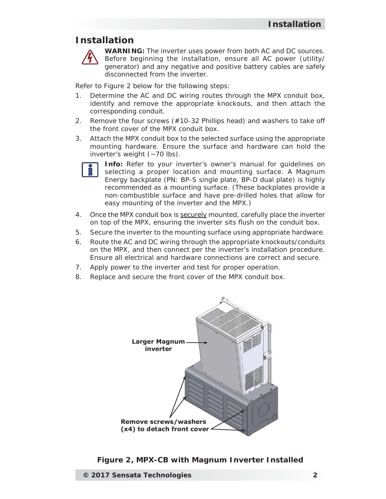#### **Installation**



**WARNING:** The inverter uses power from both AC and DC sources. Before beginning the installation, ensure all AC power (utility/ generator) and any negative and positive battery cables are safely disconnected from the inverter.

Refer to Figure 2 below for the following steps:

- 1. Determine the AC and DC wiring routes through the MPX conduit box, identify and remove the appropriate knockouts, and then attach the corresponding conduit.
- 2. Remove the four screws (#10-32 Phillips head) and washers to take off the front cover of the MPX conduit box.
- 3. Attach the MPX conduit box to the selected surface using the appropriate mounting hardware. Ensure the surface and hardware can hold the inverter's weight  $(-70 \text{ lbs})$ .



**Info:** Refer to your inverter's owner's manual for quidelines on selecting a proper location and mounting surface. A Magnum Energy backplate (PN: BP-S single plate, BP-D dual plate) is highly recommended as a mounting surface. (These backplates provide a non-combustible surface and have pre-drilled holes that allow for easy mounting of the inverter and the MPX.)

- 4. Once the MPX conduit box is securely mounted, carefully place the inverter on top of the MPX, ensuring the inverter sits flush on the conduit box.
- 5. Secure the inverter to the mounting surface using appropriate hardware.
- 6. Route the AC and DC wiring through the appropriate knockouts/conduits on the MPX, and then connect per the inverter's installation procedure. Ensure all electrical and hardware connections are correct and secure.
- 7. Apply power to the inverter and test for proper operation.
- 8. Replace and secure the front cover of the MPX conduit box.



*Figure 2, MPX-CB with Magnum Inverter Installed*